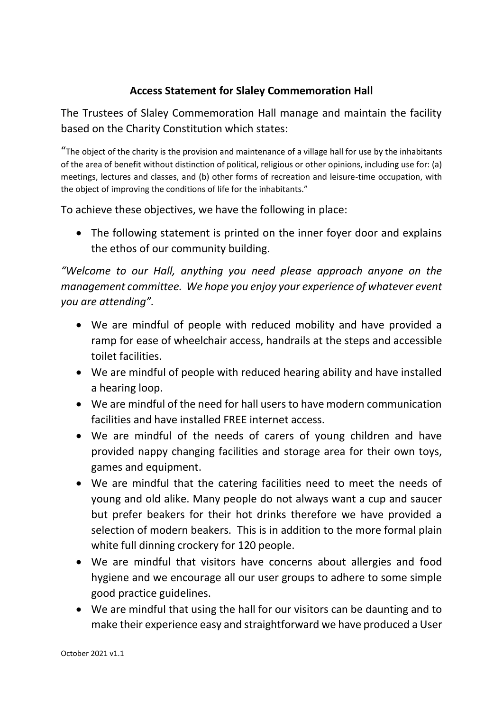## **Access Statement for Slaley Commemoration Hall**

The Trustees of Slaley Commemoration Hall manage and maintain the facility based on the Charity Constitution which states:

"The object of the charity is the provision and maintenance of a village hall for use by the inhabitants of the area of benefit without distinction of political, religious or other opinions, including use for: (a) meetings, lectures and classes, and (b) other forms of recreation and leisure-time occupation, with the object of improving the conditions of life for the inhabitants."

To achieve these objectives, we have the following in place:

• The following statement is printed on the inner foyer door and explains the ethos of our community building.

*"Welcome to our Hall, anything you need please approach anyone on the management committee. We hope you enjoy your experience of whatever event you are attending".*

- We are mindful of people with reduced mobility and have provided a ramp for ease of wheelchair access, handrails at the steps and accessible toilet facilities.
- We are mindful of people with reduced hearing ability and have installed a hearing loop.
- We are mindful of the need for hall users to have modern communication facilities and have installed FREE internet access.
- We are mindful of the needs of carers of young children and have provided nappy changing facilities and storage area for their own toys, games and equipment.
- We are mindful that the catering facilities need to meet the needs of young and old alike. Many people do not always want a cup and saucer but prefer beakers for their hot drinks therefore we have provided a selection of modern beakers. This is in addition to the more formal plain white full dinning crockery for 120 people.
- We are mindful that visitors have concerns about allergies and food hygiene and we encourage all our user groups to adhere to some simple good practice guidelines.
- We are mindful that using the hall for our visitors can be daunting and to make their experience easy and straightforward we have produced a User